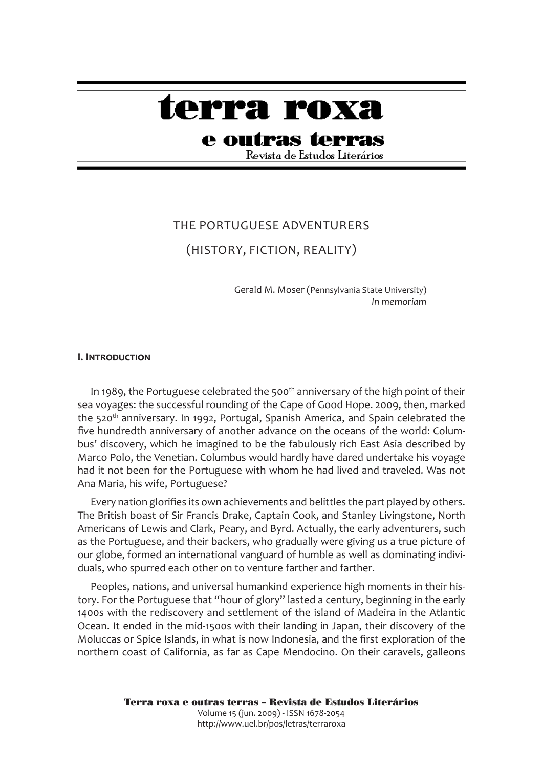# terra roxa

## e outras terras

Revista de Estudos Literários

## The Portuguese Adventurers

### (History, Fiction, Reality)

Gerald M. Moser (Pennsylvania State University) *In memoriam*

#### **I. Introduction**

In 1989, the Portuguese celebrated the 500<sup>th</sup> anniversary of the high point of their sea voyages: the successful rounding of the Cape of Good Hope. 2009, then, marked the 520<sup>th</sup> anniversary. In 1992, Portugal, Spanish America, and Spain celebrated the five hundredth anniversary of another advance on the oceans of the world: Columbus' discovery, which he imagined to be the fabulously rich East Asia described by Marco Polo, the Venetian. Columbus would hardly have dared undertake his voyage had it not been for the Portuguese with whom he had lived and traveled. Was not Ana Maria, his wife, Portuguese?

Every nation glorifies its own achievements and belittles the part played by others. The British boast of Sir Francis Drake, Captain Cook, and Stanley Livingstone, North Americans of Lewis and Clark, Peary, and Byrd. Actually, the early adventurers, such as the Portuguese, and their backers, who gradually were giving us a true picture of our globe, formed an international vanguard of humble as well as dominating individuals, who spurred each other on to venture farther and farther.

Peoples, nations, and universal humankind experience high moments in their history. For the Portuguese that "hour of glory" lasted a century, beginning in the early 1400s with the rediscovery and settlement of the island of Madeira in the Atlantic Ocean. It ended in the mid-1500s with their landing in Japan, their discovery of the Moluccas or Spice Islands, in what is now Indonesia, and the first exploration of the northern coast of California, as far as Cape Mendocino. On their caravels, galleons

> Terra roxa e outras terras – Revista de Estudos Literários Volume 15 (jun. 2009) - ISSN 1678-2054 http://www.uel.br/pos/letras/terraroxa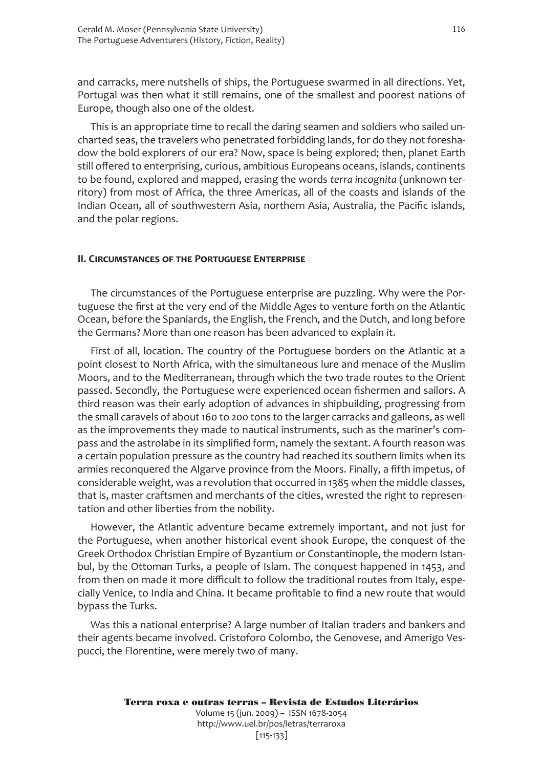and carracks, mere nutshells of ships, the Portuguese swarmed in all directions. Yet, Portugal was then what it still remains, one of the smallest and poorest nations of Europe, though also one of the oldest.

This is an appropriate time to recall the daring seamen and soldiers who sailed uncharted seas, the travelers who penetrated forbidding lands, for do they not foreshadow the bold explorers of our era? Now, space is being explored; then, planet Earth still offered to enterprising, curious, ambitious Europeans oceans, islands, continents to be found, explored and mapped, erasing the words *terra incognita* (unknown territory) from most of Africa, the three Americas, all of the coasts and islands of the Indian Ocean, all of southwestern Asia, northern Asia, Australia, the Pacific islands, and the polar regions.

#### **II. Circumstances of the Portuguese Enterprise**

The circumstances of the Portuguese enterprise are puzzling. Why were the Portuguese the first at the very end of the Middle Ages to venture forth on the Atlantic Ocean, before the Spaniards, the English, the French, and the Dutch, and long before the Germans? More than one reason has been advanced to explain it.

First of all, location. The country of the Portuguese borders on the Atlantic at a point closest to North Africa, with the simultaneous lure and menace of the Muslim Moors, and to the Mediterranean, through which the two trade routes to the Orient passed. Secondly, the Portuguese were experienced ocean fishermen and sailors. A third reason was their early adoption of advances in shipbuilding, progressing from the small caravels of about 160 to 200 tons to the larger carracks and galleons, as well as the improvements they made to nautical instruments, such as the mariner's compass and the astrolabe in its simplified form, namely the sextant. A fourth reason was a certain population pressure as the country had reached its southern limits when its armies reconquered the Algarve province from the Moors. Finally, a fifth impetus, of considerable weight, was a revolution that occurred in 1385 when the middle classes, that is, master craftsmen and merchants of the cities, wrested the right to representation and other liberties from the nobility.

However, the Atlantic adventure became extremely important, and not just for the Portuguese, when another historical event shook Europe, the conquest of the Greek Orthodox Christian Empire of Byzantium or Constantinople, the modern Istanbul, by the Ottoman Turks, a people of Islam. The conquest happened in 1453, and from then on made it more difficult to follow the traditional routes from Italy, especially Venice, to India and China. It became profitable to find a new route that would bypass the Turks.

Was this a national enterprise? A large number of Italian traders and bankers and their agents became involved. Cristoforo Colombo, the Genovese, and Amerigo Vespucci, the Florentine, were merely two of many.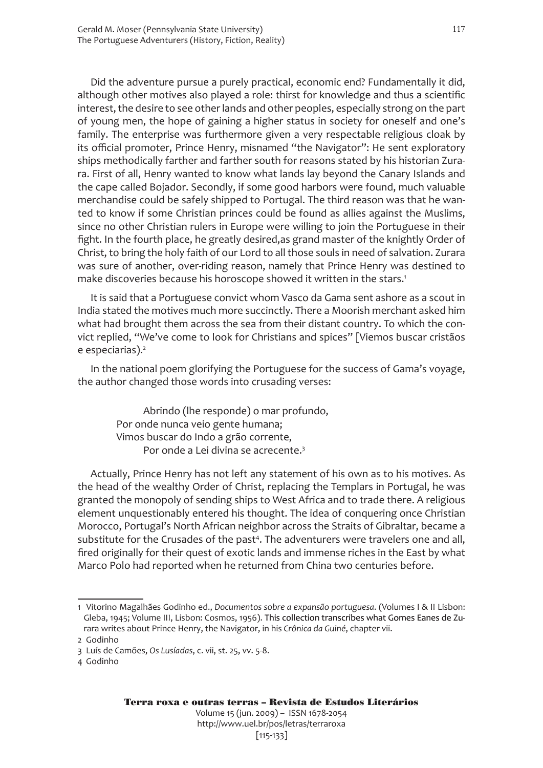Did the adventure pursue a purely practical, economic end? Fundamentally it did, although other motives also played a role: thirst for knowledge and thus a scientific interest, the desire to see other lands and other peoples, especially strong on the part of young men, the hope of gaining a higher status in society for oneself and one's family. The enterprise was furthermore given a very respectable religious cloak by its official promoter, Prince Henry, misnamed "the Navigator": He sent exploratory ships methodically farther and farther south for reasons stated by his historian Zurara. First of all, Henry wanted to know what lands lay beyond the Canary Islands and the cape called Bojador. Secondly, if some good harbors were found, much valuable merchandise could be safely shipped to Portugal. The third reason was that he wanted to know if some Christian princes could be found as allies against the Muslims, since no other Christian rulers in Europe were willing to join the Portuguese in their fight. In the fourth place, he greatly desired,as grand master of the knightly Order of Christ, to bring the holy faith of our Lord to all those souls in need of salvation. Zurara was sure of another, over-riding reason, namely that Prince Henry was destined to make discoveries because his horoscope showed it written in the stars.<sup>1</sup>

It is said that a Portuguese convict whom Vasco da Gama sent ashore as a scout in India stated the motives much more succinctly. There a Moorish merchant asked him what had brought them across the sea from their distant country. To which the convict replied, "We've come to look for Christians and spices" [Viemos buscar cristãos e especiarias).<sup>2</sup>

In the national poem glorifying the Portuguese for the success of Gama's voyage, the author changed those words into crusading verses:

Abrindo (lhe responde) o mar profundo, Por onde nunca veio gente humana; Vimos buscar do Indo a grão corrente, Por onde a Lei divina se acrecente.<sup>3</sup>

Actually, Prince Henry has not left any statement of his own as to his motives. As the head of the wealthy Order of Christ, replacing the Templars in Portugal, he was granted the monopoly of sending ships to West Africa and to trade there. A religious element unquestionably entered his thought. The idea of conquering once Christian Morocco, Portugal's North African neighbor across the Straits of Gibraltar, became a substitute for the Crusades of the past<sup>4</sup>. The adventurers were travelers one and all, fired originally for their quest of exotic lands and immense riches in the East by what Marco Polo had reported when he returned from China two centuries before.

[115-133]

117

<sup>1</sup> Vitorino Magalhães Godinho ed., *Documentos sobre a expansão portuguesa*. (Volumes I & II Lisbon: Gleba, 1945; Volume III, Lisbon: Cosmos, 1956). This collection transcribes what Gomes Eanes de Zurara writes about Prince Henry, the Navigator, in his *Crônica da Guiné*, chapter vii.

<sup>2</sup> Godinho

<sup>3</sup> Luís de Camões, *Os Lusíadas*, c. vii, st. 25, vv. 5-8.

<sup>4</sup> Godinho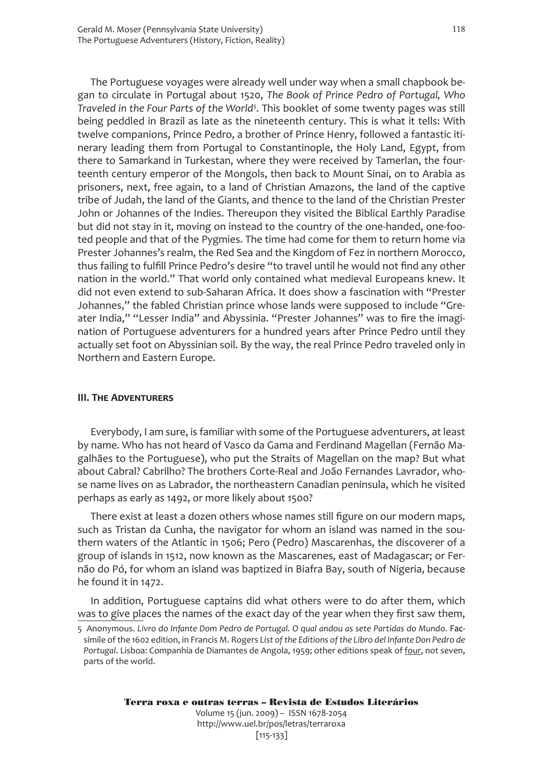The Portuguese voyages were already well under way when a small chapbook began to circulate in Portugal about 1520, *The Book of Prince Pedro of Portugal, Who*  Traveled in the Four Parts of the World<sup>5</sup>. This booklet of some twenty pages was still being peddled in Brazil as late as the nineteenth century. This is what it tells: With twelve companions, Prince Pedro, a brother of Prince Henry, followed a fantastic itinerary leading them from Portugal to Constantinople, the Holy Land, Egypt, from there to Samarkand in Turkestan, where they were received by Tamerlan, the fourteenth century emperor of the Mongols, then back to Mount Sinai, on to Arabia as prisoners, next, free again, to a land of Christian Amazons, the land of the captive tribe of Judah, the land of the Giants, and thence to the land of the Christian Prester John or Johannes of the Indies. Thereupon they visited the Biblical Earthly Paradise but did not stay in it, moving on instead to the country of the one-handed, one-footed people and that of the Pygmies. The time had come for them to return home via Prester Johannes's realm, the Red Sea and the Kingdom of Fez in northern Morocco, thus failing to fulfill Prince Pedro's desire "to travel until he would not find any other nation in the world." That world only contained what medieval Europeans knew. It did not even extend to sub-Saharan Africa. It does show a fascination with "Prester Johannes," the fabled Christian prince whose lands were supposed to include "Greater India," "Lesser India" and Abyssinia. "Prester Johannes" was to fire the imagination of Portuguese adventurers for a hundred years after Prince Pedro until they actually set foot on Abyssinian soil. By the way, the real Prince Pedro traveled only in Northern and Eastern Europe.

#### **III. The Adventurers**

Everybody, I am sure, is familiar with some of the Portuguese adventurers, at least by name. Who has not heard of Vasco da Gama and Ferdinand Magellan (Fernão Magalhães to the Portuguese), who put the Straits of Magellan on the map? But what about Cabral? Cabrilho? The brothers Corte-Real and João Fernandes Lavrador, whose name lives on as Labrador, the northeastern Canadian peninsula, which he visited perhaps as early as 1492, or more likely about 1500?

There exist at least a dozen others whose names still figure on our modern maps, such as Tristan da Cunha, the navigator for whom an island was named in the southern waters of the Atlantic in 1506; Pero (Pedro) Mascarenhas, the discoverer of a group of islands in 1512, now known as the Mascarenes, east of Madagascar; or Fernão do Pó, for whom an island was baptized in Biafra Bay, south of Nigeria, because he found it in 1472.

In addition, Portuguese captains did what others were to do after them, which was to give places the names of the exact day of the year when they first saw them,

[115-133]

<sup>5</sup> Anonymous. *Livro do Infante Dom Pedro de Portugal. O qual andou as sete Partidas do Mundo*. Facsimile of the 1602 edition, in Francis M. Rogers *List of the Editions of the Libro del Infante Don Pedro de Portugal*. Lisboa: Companhia de Diamantes de Angola, 1959; other editions speak of four, not seven, parts of the world.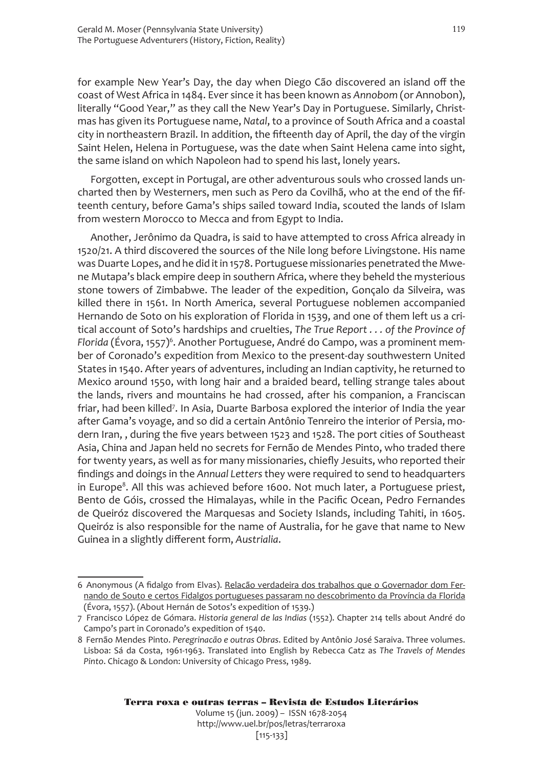for example New Year's Day, the day when Diego Cão discovered an island off the coast of West Africa in 1484. Ever since it has been known as *Annobom* (or Annobon), literally "Good Year," as they call the New Year's Day in Portuguese. Similarly, Christmas has given its Portuguese name, *Natal*, to a province of South Africa and a coastal city in northeastern Brazil. In addition, the fifteenth day of April, the day of the virgin Saint Helen, Helena in Portuguese, was the date when Saint Helena came into sight, the same island on which Napoleon had to spend his last, lonely years.

Forgotten, except in Portugal, are other adventurous souls who crossed lands uncharted then by Westerners, men such as Pero da Covilhã, who at the end of the fifteenth century, before Gama's ships sailed toward India, scouted the lands of Islam from western Morocco to Mecca and from Egypt to India.

Another, Jerônimo da Quadra, is said to have attempted to cross Africa already in 1520/21. A third discovered the sources of the Nile long before Livingstone. His name was Duarte Lopes, and he did it in 1578. Portuguese missionaries penetrated the Mwene Mutapa's black empire deep in southern Africa, where they beheld the mysterious stone towers of Zimbabwe. The leader of the expedition, Gonçalo da Silveira, was killed there in 1561. In North America, several Portuguese noblemen accompanied Hernando de Soto on his exploration of Florida in 1539, and one of them left us a critical account of Soto's hardships and cruelties, *The True Report . . . of the Province of*  Florida (Évora, 1557)<sup>6</sup>. Another Portuguese, André do Campo, was a prominent member of Coronado's expedition from Mexico to the present-day southwestern United States in 1540. After years of adventures, including an Indian captivity, he returned to Mexico around 1550, with long hair and a braided beard, telling strange tales about the lands, rivers and mountains he had crossed, after his companion, a Franciscan friar, had been killed<sup>7</sup>. In Asia, Duarte Barbosa explored the interior of India the year after Gama's voyage, and so did a certain Antônio Tenreiro the interior of Persia, modern Iran, , during the five years between 1523 and 1528. The port cities of Southeast Asia, China and Japan held no secrets for Fernão de Mendes Pinto, who traded there for twenty years, as well as for many missionaries, chiefly Jesuits, who reported their findings and doings in the *Annual Letters* they were required to send to headquarters in Europe<sup>8</sup>. All this was achieved before 1600. Not much later, a Portuguese priest, Bento de Góis, crossed the Himalayas, while in the Pacific Ocean, Pedro Fernandes de Queiróz discovered the Marquesas and Society Islands, including Tahiti, in 1605. Queiróz is also responsible for the name of Australia, for he gave that name to New Guinea in a slightly different form, *Austrialia*.

<sup>6</sup> Anonymous (A fidalgo from Elvas). Relacão verdadeira dos trabalhos que o Governador dom Fernando de Souto e certos Fidalgos portugueses passaram no descobrimento da Província da Florida (Évora, 1557). (About Hernán de Sotos's expedition of 1539.)

<sup>7</sup> Francisco López de Gómara. *Historia general de las Indias* (1552). Chapter 214 tells about André do Campo's part in Coronado's expedition of 1540.

<sup>8</sup> Fernão Mendes Pinto. *Peregrinacão e outras Obras*. Edited by Antônio José Saraiva. Three volumes. Lisboa: Sá da Costa, 1961-1963. Translated into English by Rebecca Catz as *The Travels of Mendes Pinto*. Chicago & London: University of Chicago Press, 1989.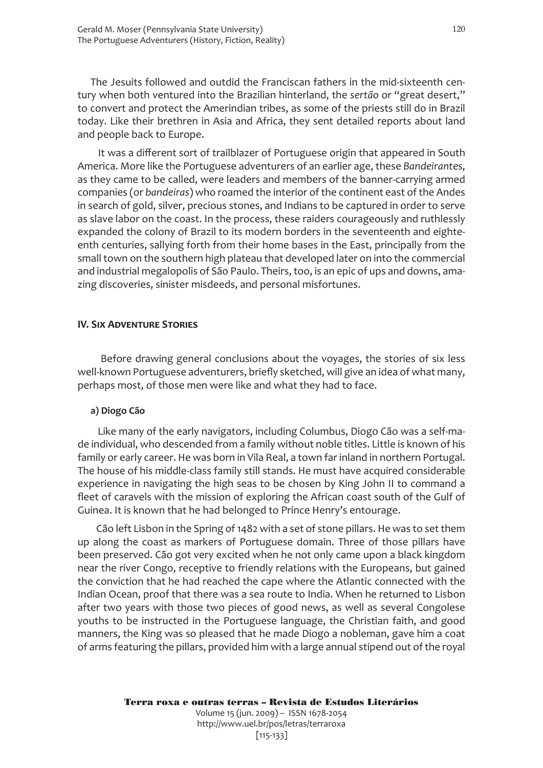The Jesuits followed and outdid the Franciscan fathers in the mid-sixteenth century when both ventured into the Brazilian hinterland, the *sertão* or "great desert," to convert and protect the Amerindian tribes, as some of the priests still do in Brazil today. Like their brethren in Asia and Africa, they sent detailed reports about land and people back to Europe.

 It was a different sort of trailblazer of Portuguese origin that appeared in South America. More like the Portuguese adventurers of an earlier age, these *Bandeirantes*, as they came to be called, were leaders and members of the banner-carrying armed companies (or *bandeiras*) who roamed the interior of the continent east of the Andes in search of gold, silver, precious stones, and Indians to be captured in order to serve as slave labor on the coast. In the process, these raiders courageously and ruthlessly expanded the colony of Brazil to its modern borders in the seventeenth and eighteenth centuries, sallying forth from their home bases in the East, principally from the small town on the southern high plateau that developed later on into the commercial and industrial megalopolis of São Paulo. Theirs, too, is an epic of ups and downs, amazing discoveries, sinister misdeeds, and personal misfortunes.

#### **IV. Six Adventure Stories**

 Before drawing general conclusions about the voyages, the stories of six less well-known Portuguese adventurers, briefly sketched, will give an idea of what many, perhaps most, of those men were like and what they had to face.

#### **a) Diogo Cão**

 Like many of the early navigators, including Columbus, Diogo Cão was a self-made individual, who descended from a family without noble titles. Little is known of his family or early career. He was born in Vila Real, a town far inland in northern Portugal. The house of his middle-class family still stands. He must have acquired considerable experience in navigating the high seas to be chosen by King John II to command a fleet of caravels with the mission of exploring the African coast south of the Gulf of Guinea. It is known that he had belonged to Prince Henry's entourage.

 Cão left Lisbon in the Spring of 1482 with a set of stone pillars. He was to set them up along the coast as markers of Portuguese domain. Three of those pillars have been preserved. Cão got very excited when he not only came upon a black kingdom near the river Congo, receptive to friendly relations with the Europeans, but gained the conviction that he had reached the cape where the Atlantic connected with the Indian Ocean, proof that there was a sea route to India. When he returned to Lisbon after two years with those two pieces of good news, as well as several Congolese youths to be instructed in the Portuguese language, the Christian faith, and good manners, the King was so pleased that he made Diogo a nobleman, gave him a coat of arms featuring the pillars, provided him with a large annual stipend out of the royal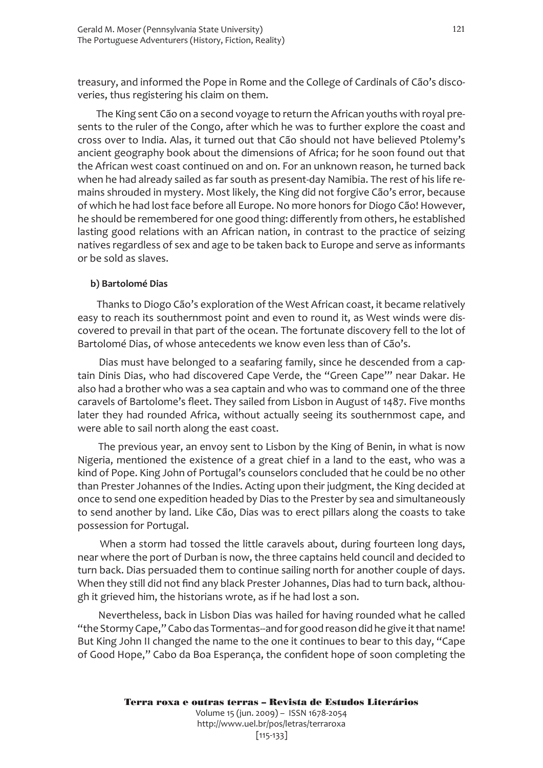treasury, and informed the Pope in Rome and the College of Cardinals of Cão's discoveries, thus registering his claim on them.

 The King sent Cão on a second voyage to return the African youths with royal presents to the ruler of the Congo, after which he was to further explore the coast and cross over to India. Alas, it turned out that Cão should not have believed Ptolemy's ancient geography book about the dimensions of Africa; for he soon found out that the African west coast continued on and on. For an unknown reason, he turned back when he had already sailed as far south as present-day Namibia. The rest of his life remains shrouded in mystery. Most likely, the King did not forgive Cão's error, because of which he had lost face before all Europe. No more honors for Diogo Cão! However, he should be remembered for one good thing: differently from others, he established lasting good relations with an African nation, in contrast to the practice of seizing natives regardless of sex and age to be taken back to Europe and serve as informants or be sold as slaves.

#### **b) Bartolomé Dias**

 Thanks to Diogo Cão's exploration of the West African coast, it became relatively easy to reach its southernmost point and even to round it, as West winds were discovered to prevail in that part of the ocean. The fortunate discovery fell to the lot of Bartolomé Dias, of whose antecedents we know even less than of Cão's.

 Dias must have belonged to a seafaring family, since he descended from a captain Dinis Dias, who had discovered Cape Verde, the "Green Cape'" near Dakar. He also had a brother who was a sea captain and who was to command one of the three caravels of Bartolome's fleet. They sailed from Lisbon in August of 1487. Five months later they had rounded Africa, without actually seeing its southernmost cape, and were able to sail north along the east coast.

 The previous year, an envoy sent to Lisbon by the King of Benin, in what is now Nigeria, mentioned the existence of a great chief in a land to the east, who was a kind of Pope. King John of Portugal's counselors concluded that he could be no other than Prester Johannes of the Indies. Acting upon their judgment, the King decided at once to send one expedition headed by Dias to the Prester by sea and simultaneously to send another by land. Like Cão, Dias was to erect pillars along the coasts to take possession for Portugal.

When a storm had tossed the little caravels about, during fourteen long days, near where the port of Durban is now, the three captains held council and decided to turn back. Dias persuaded them to continue sailing north for another couple of days. When they still did not find any black Prester Johannes, Dias had to turn back, although it grieved him, the historians wrote, as if he had lost a son.

 Nevertheless, back in Lisbon Dias was hailed for having rounded what he called "the Stormy Cape," Cabo das Tormentas--and for good reason did he give it that name! But King John II changed the name to the one it continues to bear to this day, "Cape of Good Hope," Cabo da Boa Esperança, the confident hope of soon completing the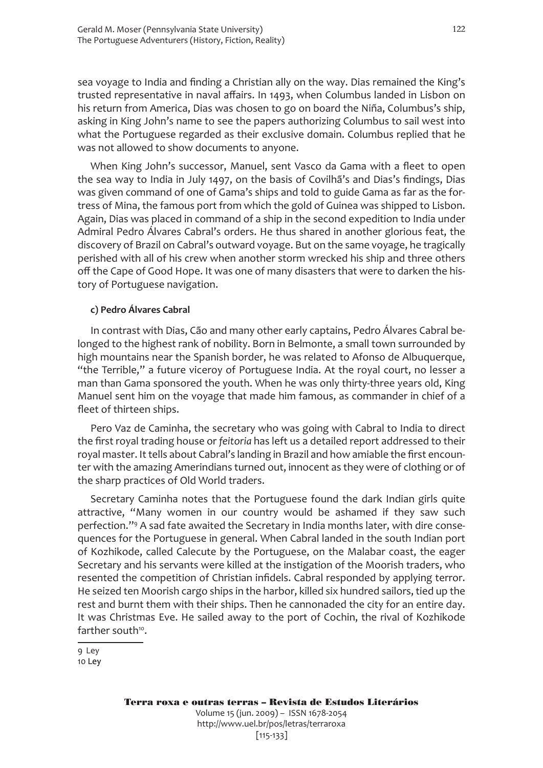sea voyage to India and finding a Christian ally on the way. Dias remained the King's trusted representative in naval affairs. In 1493, when Columbus landed in Lisbon on his return from America, Dias was chosen to go on board the Niña, Columbus's ship, asking in King John's name to see the papers authorizing Columbus to sail west into what the Portuguese regarded as their exclusive domain. Columbus replied that he was not allowed to show documents to anyone.

When King John's successor, Manuel, sent Vasco da Gama with a fleet to open the sea way to India in July 1497, on the basis of Covilhã's and Dias's findings, Dias was given command of one of Gama's ships and told to guide Gama as far as the fortress of Mina, the famous port from which the gold of Guinea was shipped to Lisbon. Again, Dias was placed in command of a ship in the second expedition to India under Admiral Pedro Álvares Cabral's orders. He thus shared in another glorious feat, the discovery of Brazil on Cabral's outward voyage. But on the same voyage, he tragically perished with all of his crew when another storm wrecked his ship and three others off the Cape of Good Hope. It was one of many disasters that were to darken the history of Portuguese navigation.

#### **c) Pedro Álvares Cabral**

In contrast with Dias, Cão and many other early captains, Pedro Álvares Cabral belonged to the highest rank of nobility. Born in Belmonte, a small town surrounded by high mountains near the Spanish border, he was related to Afonso de Albuquerque, "the Terrible," a future viceroy of Portuguese India. At the royal court, no lesser a man than Gama sponsored the youth. When he was only thirty-three years old, King Manuel sent him on the voyage that made him famous, as commander in chief of a fleet of thirteen ships.

Pero Vaz de Caminha, the secretary who was going with Cabral to India to direct the first royal trading house or *feitoria* has left us a detailed report addressed to their royal master. It tells about Cabral's landing in Brazil and how amiable the first encounter with the amazing Amerindians turned out, innocent as they were of clothing or of the sharp practices of Old World traders.

Secretary Caminha notes that the Portuguese found the dark Indian girls quite attractive, "Many women in our country would be ashamed if they saw such perfection."<sup>9</sup> A sad fate awaited the Secretary in India months later, with dire consequences for the Portuguese in general. When Cabral landed in the south Indian port of Kozhikode, called Calecute by the Portuguese, on the Malabar coast, the eager Secretary and his servants were killed at the instigation of the Moorish traders, who resented the competition of Christian infidels. Cabral responded by applying terror. He seized ten Moorish cargo ships in the harbor, killed six hundred sailors, tied up the rest and burnt them with their ships. Then he cannonaded the city for an entire day. It was Christmas Eve. He sailed away to the port of Cochin, the rival of Kozhikode farther south<sup>10</sup>.

9 Ley 10 Ley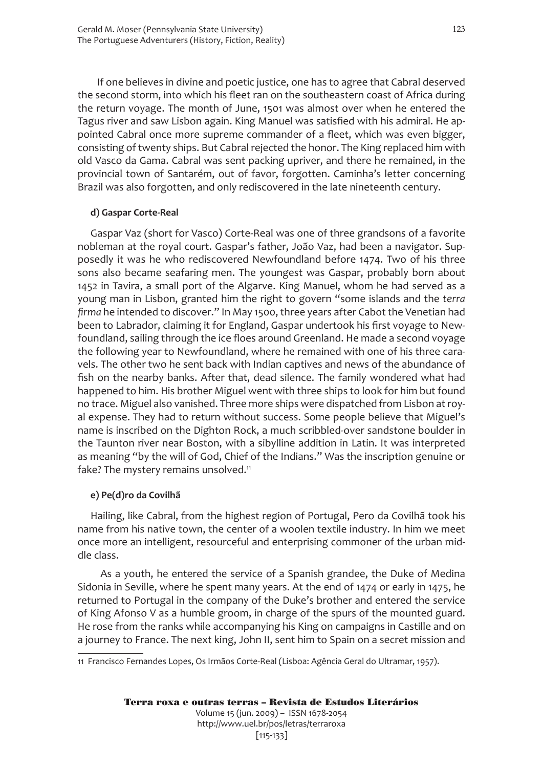If one believes in divine and poetic justice, one has to agree that Cabral deserved the second storm, into which his fleet ran on the southeastern coast of Africa during the return voyage. The month of June, 1501 was almost over when he entered the Tagus river and saw Lisbon again. King Manuel was satisfied with his admiral. He appointed Cabral once more supreme commander of a fleet, which was even bigger, consisting of twenty ships. But Cabral rejected the honor. The King replaced him with old Vasco da Gama. Cabral was sent packing upriver, and there he remained, in the provincial town of Santarém, out of favor, forgotten. Caminha's letter concerning Brazil was also forgotten, and only rediscovered in the late nineteenth century.

#### **d) Gaspar Corte-Real**

Gaspar Vaz (short for Vasco) Corte-Real was one of three grandsons of a favorite nobleman at the royal court. Gaspar's father, João Vaz, had been a navigator. Supposedly it was he who rediscovered Newfoundland before 1474. Two of his three sons also became seafaring men. The youngest was Gaspar, probably born about 1452 in Tavira, a small port of the Algarve. King Manuel, whom he had served as a young man in Lisbon, granted him the right to govern "some islands and the *terra firma* he intended to discover." In May 1500, three years after Cabot the Venetian had been to Labrador, claiming it for England, Gaspar undertook his first voyage to Newfoundland, sailing through the ice floes around Greenland. He made a second voyage the following year to Newfoundland, where he remained with one of his three caravels. The other two he sent back with Indian captives and news of the abundance of fish on the nearby banks. After that, dead silence. The family wondered what had happened to him. His brother Miguel went with three ships to look for him but found no trace. Miguel also vanished. Three more ships were dispatched from Lisbon at royal expense. They had to return without success. Some people believe that Miguel's name is inscribed on the Dighton Rock, a much scribbled-over sandstone boulder in the Taunton river near Boston, with a sibylline addition in Latin. It was interpreted as meaning "by the will of God, Chief of the Indians." Was the inscription genuine or fake? The mystery remains unsolved.<sup>11</sup>

#### **e) Pe(d)ro da Covilhã**

Hailing, like Cabral, from the highest region of Portugal, Pero da Covilhã took his name from his native town, the center of a woolen textile industry. In him we meet once more an intelligent, resourceful and enterprising commoner of the urban middle class.

 As a youth, he entered the service of a Spanish grandee, the Duke of Medina Sidonia in Seville, where he spent many years. At the end of 1474 or early in 1475, he returned to Portugal in the company of the Duke's brother and entered the service of King Afonso V as a humble groom, in charge of the spurs of the mounted guard. He rose from the ranks while accompanying his King on campaigns in Castille and on a journey to France. The next king, John II, sent him to Spain on a secret mission and

<sup>11</sup> Francisco Fernandes Lopes, Os Irmãos Corte-Real (Lisboa: Agência Geral do Ultramar, 1957).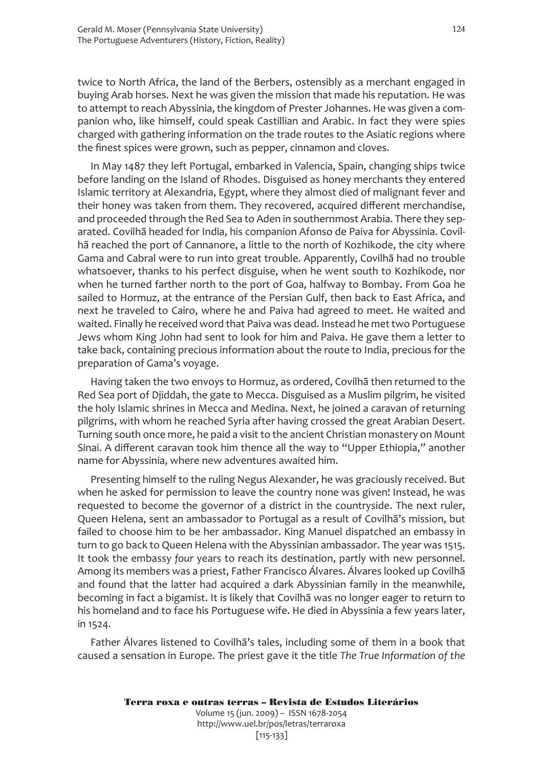twice to North Africa, the land of the Berbers, ostensibly as a merchant engaged in buying Arab horses. Next he was given the mission that made his reputation. He was to attempt to reach Abyssinia, the kingdom of Prester Johannes. He was given a companion who, like himself, could speak Castillian and Arabic. In fact they were spies charged with gathering information on the trade routes to the Asiatic regions where the finest spices were grown, such as pepper, cinnamon and cloves.

In May 1487 they left Portugal, embarked in Valencia, Spain, changing ships twice before landing on the Island of Rhodes. Disguised as honey merchants they entered Islamic territory at Alexandria, Egypt, where they almost died of malignant fever and their honey was taken from them. They recovered, acquired different merchandise, and proceeded through the Red Sea to Aden in southernmost Arabia. There they separated. Covilhã headed for India, his companion Afonso de Paiva for Abyssinia. Covilhã reached the port of Cannanore, a little to the north of Kozhikode, the city where Gama and Cabral were to run into great trouble. Apparently, Covilhã had no trouble whatsoever, thanks to his perfect disguise, when he went south to Kozhikode, nor when he turned farther north to the port of Goa, halfway to Bombay. From Goa he sailed to Hormuz, at the entrance of the Persian Gulf, then back to East Africa, and next he traveled to Cairo, where he and Paiva had agreed to meet. He waited and waited. Finally he received word that Paiva was dead. Instead he met two Portuguese Jews whom King John had sent to look for him and Paiva. He gave them a letter to take back, containing precious information about the route to India, precious for the preparation of Gama's voyage.

Having taken the two envoys to Hormuz, as ordered, Covilhã then returned to the Red Sea port of Djiddah, the gate to Mecca. Disguised as a Muslim pilgrim, he visited the holy Islamic shrines in Mecca and Medina. Next, he joined a caravan of returning pilgrims, with whom he reached Syria after having crossed the great Arabian Desert. Turning south once more, he paid a visit to the ancient Christian monastery on Mount Sinai. A different caravan took him thence all the way to "Upper Ethiopia," another name for Abyssinia, where new adventures awaited him.

Presenting himself to the ruling Negus Alexander, he was graciously received. But when he asked for permission to leave the country none was given! Instead, he was requested to become the governor of a district in the countryside. The next ruler, Queen Helena, sent an ambassador to Portugal as a result of Covilhã's mission, but failed to choose him to be her ambassador. King Manuel dispatched an embassy in turn to go back to Queen Helena with the Abyssinian ambassador. The year was 1515. It took the embassy *four* years to reach its destination, partly with new personnel. Among its members was a priest, Father Francisco Álvares. Álvares looked up Covilhã and found that the latter had acquired a dark Abyssinian family in the meanwhile, becoming in fact a bigamist. It is likely that Covilhã was no longer eager to return to his homeland and to face his Portuguese wife. He died in Abyssinia a few years later, in 1524.

Father Álvares listened to Covilhã's tales, including some of them in a book that caused a sensation in Europe. The priest gave it the title *The True Information of the*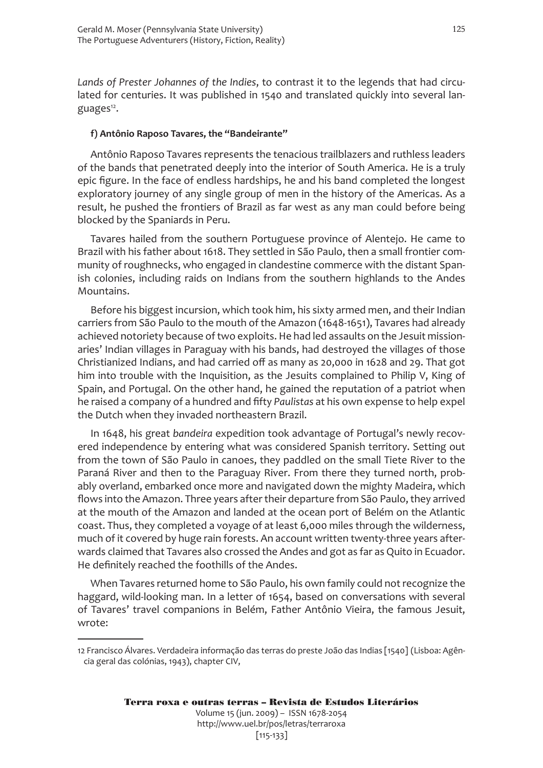*Lands of Prester Johannes of the Indies*, to contrast it to the legends that had circulated for centuries. It was published in 1540 and translated quickly into several languages<sup>12</sup>.

#### **f) Antônio Raposo Tavares, the "Bandeirante"**

Antônio Raposo Tavares represents the tenacious trailblazers and ruthless leaders of the bands that penetrated deeply into the interior of South America. He is a truly epic figure. In the face of endless hardships, he and his band completed the longest exploratory journey of any single group of men in the history of the Americas. As a result, he pushed the frontiers of Brazil as far west as any man could before being blocked by the Spaniards in Peru.

Tavares hailed from the southern Portuguese province of Alentejo. He came to Brazil with his father about 1618. They settled in São Paulo, then a small frontier community of roughnecks, who engaged in clandestine commerce with the distant Spanish colonies, including raids on Indians from the southern highlands to the Andes Mountains.

Before his biggest incursion, which took him, his sixty armed men, and their Indian carriers from São Paulo to the mouth of the Amazon (1648-1651), Tavares had already achieved notoriety because of two exploits. He had led assaults on the Jesuit missionaries' Indian villages in Paraguay with his bands, had destroyed the villages of those Christianized Indians, and had carried off as many as 20,000 in 1628 and 29. That got him into trouble with the Inquisition, as the Jesuits complained to Philip V, King of Spain, and Portugal. On the other hand, he gained the reputation of a patriot when he raised a company of a hundred and fifty *Paulistas* at his own expense to help expel the Dutch when they invaded northeastern Brazil.

In 1648, his great *bandeira* expedition took advantage of Portugal's newly recovered independence by entering what was considered Spanish territory. Setting out from the town of São Paulo in canoes, they paddled on the small Tiete River to the Paraná River and then to the Paraguay River. From there they turned north, probably overland, embarked once more and navigated down the mighty Madeira, which flows into the Amazon. Three years after their departure from São Paulo, they arrived at the mouth of the Amazon and landed at the ocean port of Belém on the Atlantic coast. Thus, they completed a voyage of at least 6,000 miles through the wilderness, much of it covered by huge rain forests. An account written twenty-three years afterwards claimed that Tavares also crossed the Andes and got as far as Quito in Ecuador. He definitely reached the foothills of the Andes.

When Tavares returned home to São Paulo, his own family could not recognize the haggard, wild-looking man. In a letter of 1654, based on conversations with several of Tavares' travel companions in Belém, Father Antônio Vieira, the famous Jesuit, wrote:

<sup>12</sup> Francisco Álvares. Verdadeira informação das terras do preste João das Indias [1540] (Lisboa: Agência geral das colónias, 1943), chapter CIV,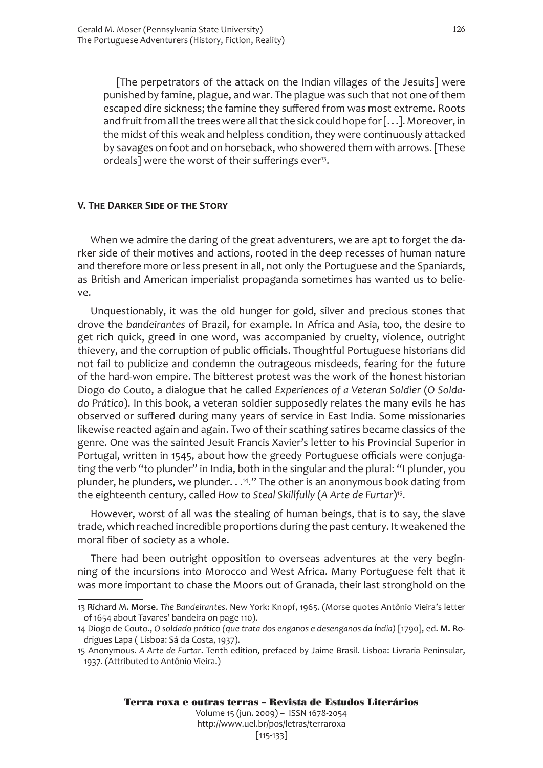[The perpetrators of the attack on the Indian villages of the Jesuits] were punished by famine, plague, and war. The plague was such that not one of them escaped dire sickness; the famine they suffered from was most extreme. Roots and fruit from all the trees were all that the sick could hope for [. . .]. Moreover, in the midst of this weak and helpless condition, they were continuously attacked by savages on foot and on horseback, who showered them with arrows. [These ordeals] were the worst of their sufferings ever<sup>13</sup>.

#### **V. The Darker Side of the Story**

When we admire the daring of the great adventurers, we are apt to forget the darker side of their motives and actions, rooted in the deep recesses of human nature and therefore more or less present in all, not only the Portuguese and the Spaniards, as British and American imperialist propaganda sometimes has wanted us to believe.

Unquestionably, it was the old hunger for gold, silver and precious stones that drove the *bandeirantes* of Brazil, for example. In Africa and Asia, too, the desire to get rich quick, greed in one word, was accompanied by cruelty, violence, outright thievery, and the corruption of public officials. Thoughtful Portuguese historians did not fail to publicize and condemn the outrageous misdeeds, fearing for the future of the hard-won empire. The bitterest protest was the work of the honest historian Diogo do Couto, a dialogue that he called *Experiences of a Veteran Soldier* (*O Soldado Prático*). In this book, a veteran soldier supposedly relates the many evils he has observed or suffered during many years of service in East India. Some missionaries likewise reacted again and again. Two of their scathing satires became classics of the genre. One was the sainted Jesuit Francis Xavier's letter to his Provincial Superior in Portugal, written in 1545, about how the greedy Portuguese officials were conjugating the verb "to plunder" in India, both in the singular and the plural: "I plunder, you plunder, he plunders, we plunder. . .<sup>14</sup>." The other is an anonymous book dating from the eighteenth century, called *How to Steal Skillfully* (*A Arte de Furtar*)15.

However, worst of all was the stealing of human beings, that is to say, the slave trade, which reached incredible proportions during the past century. It weakened the moral fiber of society as a whole.

There had been outright opposition to overseas adventures at the very beginning of the incursions into Morocco and West Africa. Many Portuguese felt that it was more important to chase the Moors out of Granada, their last stronghold on the

<sup>13</sup> Richard M. Morse. *The Bandeirantes*. New York: Knopf, 1965. (Morse quotes Antônio Vieira's letter of 1654 about Tavares' bandeira on page 110).

<sup>14</sup> Diogo de Couto., *O soldado prático (que trata dos enganos e desenganos da Índia)* [1790], ed. M. Rodrigues Lapa ( Lisboa: Sá da Costa, 1937).

<sup>15</sup> Anonymous. *A Arte de Furtar*. Tenth edition, prefaced by Jaime Brasil. Lisboa: Livraria Peninsular, 1937. (Attributed to Antônio Vieira.)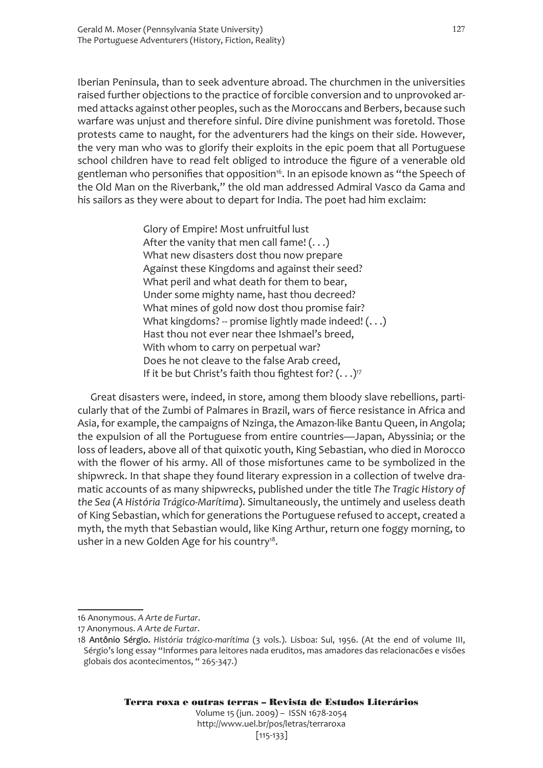Iberian Peninsula, than to seek adventure abroad. The churchmen in the universities raised further objections to the practice of forcible conversion and to unprovoked armed attacks against other peoples, such as the Moroccans and Berbers, because such warfare was unjust and therefore sinful. Dire divine punishment was foretold. Those protests came to naught, for the adventurers had the kings on their side. However, the very man who was to glorify their exploits in the epic poem that all Portuguese school children have to read felt obliged to introduce the figure of a venerable old gentleman who personifies that opposition<sup>16</sup>. In an episode known as "the Speech of the Old Man on the Riverbank," the old man addressed Admiral Vasco da Gama and his sailors as they were about to depart for India. The poet had him exclaim:

> Glory of Empire! Most unfruitful lust After the vanity that men call fame!  $(...)$ What new disasters dost thou now prepare Against these Kingdoms and against their seed? What peril and what death for them to bear, Under some mighty name, hast thou decreed? What mines of gold now dost thou promise fair? What kingdoms? -- promise lightly made indeed!  $(...)$ Hast thou not ever near thee Ishmael's breed, With whom to carry on perpetual war? Does he not cleave to the false Arab creed, If it be but Christ's faith thou fightest for?  $(\ldots)^{17}$

Great disasters were, indeed, in store, among them bloody slave rebellions, particularly that of the Zumbi of Palmares in Brazil, wars of fierce resistance in Africa and Asia, for example, the campaigns of Nzinga, the Amazon-like Bantu Queen, in Angola; the expulsion of all the Portuguese from entire countries—Japan, Abyssinia; or the loss of leaders, above all of that quixotic youth, King Sebastian, who died in Morocco with the flower of his army. All of those misfortunes came to be symbolized in the shipwreck. In that shape they found literary expression in a collection of twelve dramatic accounts of as many shipwrecks, published under the title *The Tragic History of the Sea* (*A História Trágico-Marítima*). Simultaneously, the untimely and useless death of King Sebastian, which for generations the Portuguese refused to accept, created a myth, the myth that Sebastian would, like King Arthur, return one foggy morning, to usher in a new Golden Age for his country<sup>18</sup>.

<sup>16</sup> Anonymous. *A Arte de Furtar*.

<sup>17</sup> Anonymous. *A Arte de Furtar*.

Antônio Sérgio. *História trágico-marítima* (3 vols.). Lisboa: Sul, 1956. (At the end of volume III, Sérgio's long essay "Informes para leitores nada eruditos, mas amadores das relacionacões e visões globais dos acontecimentos, " 265-347.)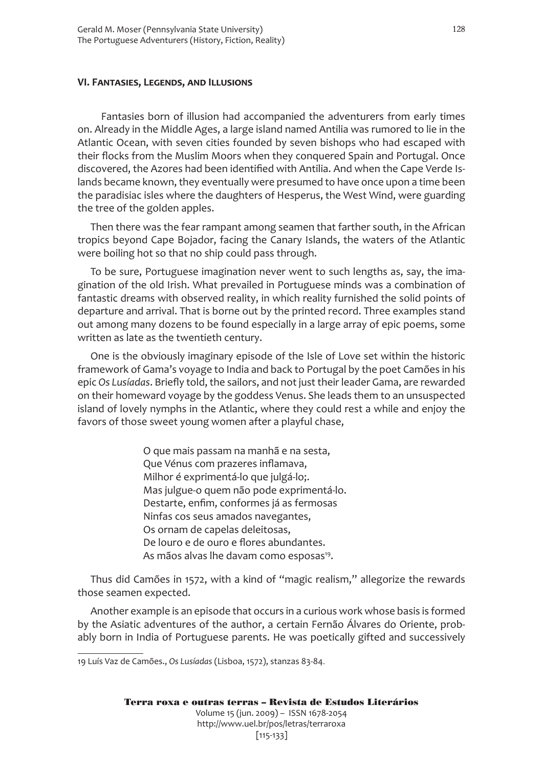#### **VI. Fantasies, Legends, and Illusions**

 Fantasies born of illusion had accompanied the adventurers from early times on. Already in the Middle Ages, a large island named Antilia was rumored to lie in the Atlantic Ocean, with seven cities founded by seven bishops who had escaped with their flocks from the Muslim Moors when they conquered Spain and Portugal. Once discovered, the Azores had been identified with Antilia. And when the Cape Verde Islands became known, they eventually were presumed to have once upon a time been the paradisiac isles where the daughters of Hesperus, the West Wind, were guarding the tree of the golden apples.

Then there was the fear rampant among seamen that farther south, in the African tropics beyond Cape Bojador, facing the Canary Islands, the waters of the Atlantic were boiling hot so that no ship could pass through.

To be sure, Portuguese imagination never went to such lengths as, say, the imagination of the old Irish. What prevailed in Portuguese minds was a combination of fantastic dreams with observed reality, in which reality furnished the solid points of departure and arrival. That is borne out by the printed record. Three examples stand out among many dozens to be found especially in a large array of epic poems, some written as late as the twentieth century.

One is the obviously imaginary episode of the Isle of Love set within the historic framework of Gama's voyage to India and back to Portugal by the poet Camões in his epic *Os Lusíadas*. Briefly told, the sailors, and not just their leader Gama, are rewarded on their homeward voyage by the goddess Venus. She leads them to an unsuspected island of lovely nymphs in the Atlantic, where they could rest a while and enjoy the favors of those sweet young women after a playful chase,

> O que mais passam na manhã e na sesta, Que Vénus com prazeres inflamava, Milhor é exprimentá-lo que julgá-lo;. Mas julgue-o quem não pode exprimentá-lo. Destarte, enfim, conformes já as fermosas Ninfas cos seus amados navegantes, Os ornam de capelas deleitosas, De louro e de ouro e flores abundantes. As mãos alvas lhe davam como esposas<sup>19</sup>.

Thus did Camões in 1572, with a kind of "magic realism," allegorize the rewards those seamen expected.

Another example is an episode that occurs in a curious work whose basis is formed by the Asiatic adventures of the author, a certain Fernão Álvares do Oriente, probably born in India of Portuguese parents. He was poetically gifted and successively

<sup>19</sup> Luís Vaz de Camões., *Os Lusíadas* (Lisboa, 1572), stanzas 83-84.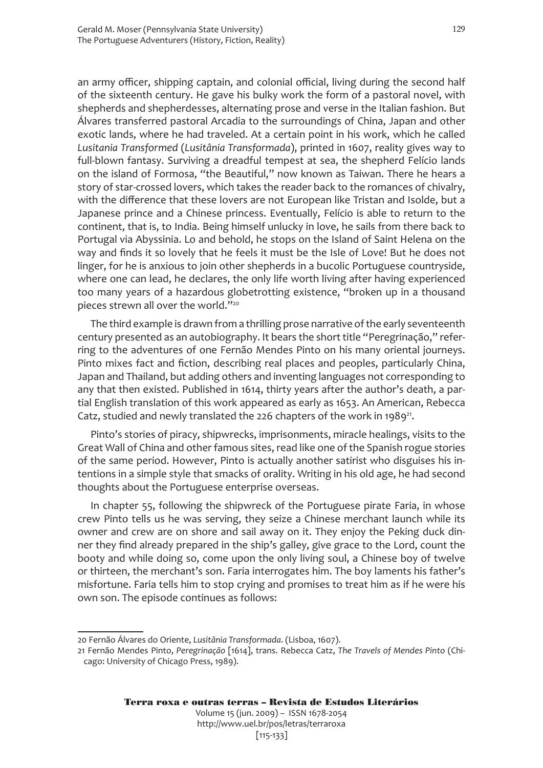an army officer, shipping captain, and colonial official, living during the second half of the sixteenth century. He gave his bulky work the form of a pastoral novel, with shepherds and shepherdesses, alternating prose and verse in the Italian fashion. But Álvares transferred pastoral Arcadia to the surroundings of China, Japan and other exotic lands, where he had traveled. At a certain point in his work, which he called *Lusitania Transformed* (*Lusitânia Transformada*), printed in 1607, reality gives way to full-blown fantasy. Surviving a dreadful tempest at sea, the shepherd Felício lands on the island of Formosa, "the Beautiful," now known as Taiwan. There he hears a story of star-crossed lovers, which takes the reader back to the romances of chivalry, with the difference that these lovers are not European like Tristan and Isolde, but a Japanese prince and a Chinese princess. Eventually, Felício is able to return to the continent, that is, to India. Being himself unlucky in love, he sails from there back to Portugal via Abyssinia. Lo and behold, he stops on the Island of Saint Helena on the way and finds it so lovely that he feels it must be the Isle of Love! But he does not linger, for he is anxious to join other shepherds in a bucolic Portuguese countryside, where one can lead, he declares, the only life worth living after having experienced too many years of a hazardous globetrotting existence, "broken up in a thousand pieces strewn all over the world."<sup>20</sup>

The third example is drawn from a thrilling prose narrative of the early seventeenth century presented as an autobiography. It bears the short title "Peregrinação," referring to the adventures of one Fernão Mendes Pinto on his many oriental journeys. Pinto mixes fact and fiction, describing real places and peoples, particularly China, Japan and Thailand, but adding others and inventing languages not corresponding to any that then existed. Published in 1614, thirty years after the author's death, a partial English translation of this work appeared as early as 1653. An American, Rebecca Catz, studied and newly translated the 226 chapters of the work in 1989<sup>21</sup>.

Pinto's stories of piracy, shipwrecks, imprisonments, miracle healings, visits to the Great Wall of China and other famous sites, read like one of the Spanish rogue stories of the same period. However, Pinto is actually another satirist who disguises his intentions in a simple style that smacks of orality. Writing in his old age, he had second thoughts about the Portuguese enterprise overseas.

In chapter 55, following the shipwreck of the Portuguese pirate Faria, in whose crew Pinto tells us he was serving, they seize a Chinese merchant launch while its owner and crew are on shore and sail away on it. They enjoy the Peking duck dinner they find already prepared in the ship's galley, give grace to the Lord, count the booty and while doing so, come upon the only living soul, a Chinese boy of twelve or thirteen, the merchant's son. Faria interrogates him. The boy laments his father's misfortune. Faria tells him to stop crying and promises to treat him as if he were his own son. The episode continues as follows:

<sup>20</sup> Fernão Álvares do Oriente, *Lusitânia Transformada*. (Lisboa, 1607).

<sup>21</sup> Fernão Mendes Pinto, *Peregrinação* [1614], trans. Rebecca Catz, *The Travels of Mendes Pinto* (Chicago: University of Chicago Press, 1989).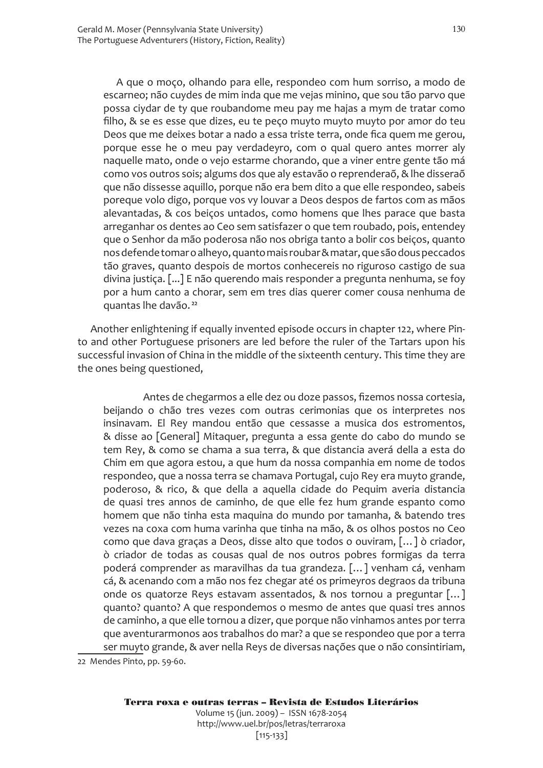A que o moço, olhando para elle, respondeo com hum sorriso, a modo de escarneo; não cuydes de mim inda que me vejas minino, que sou tão parvo que possa ciydar de ty que roubandome meu pay me hajas a mym de tratar como filho, & se es esse que dizes, eu te peço muyto muyto muyto por amor do teu Deos que me deixes botar a nado a essa triste terra, onde fica quem me gerou, porque esse he o meu pay verdadeyro, com o qual quero antes morrer aly naquelle mato, onde o vejo estarme chorando, que a viner entre gente tão má como vos outros sois; algums dos que aly estavão o reprenderaõ, & lhe disseraõ que não dissesse aquillo, porque não era bem dito a que elle respondeo, sabeis poreque volo digo, porque vos vy louvar a Deos despos de fartos com as mãos alevantadas, & cos beiços untados, como homens que lhes parace que basta arreganhar os dentes ao Ceo sem satisfazer o que tem roubado, pois, entendey que o Senhor da mão poderosa não nos obriga tanto a bolir cos beiços, quanto nos defende tomar o alheyo, quanto mais roubar & matar, que são dous peccados tão graves, quanto despois de mortos conhecereis no riguroso castigo de sua divina justiça. [...] E não querendo mais responder a pregunta nenhuma, se foy por a hum canto a chorar, sem em tres dias querer comer cousa nenhuma de quantas lhe davão. <sup>22</sup>

Another enlightening if equally invented episode occurs in chapter 122, where Pinto and other Portuguese prisoners are led before the ruler of the Tartars upon his successful invasion of China in the middle of the sixteenth century. This time they are the ones being questioned,

 Antes de chegarmos a elle dez ou doze passos, fizemos nossa cortesia, beijando o chão tres vezes com outras cerimonias que os interpretes nos insinavam. El Rey mandou então que cessasse a musica dos estromentos, & disse ao [General] Mitaquer, pregunta a essa gente do cabo do mundo se tem Rey, & como se chama a sua terra, & que distancia averá della a esta do Chim em que agora estou, a que hum da nossa companhia em nome de todos respondeo, que a nossa terra se chamava Portugal, cujo Rey era muyto grande, poderoso, & rico, & que della a aquella cidade do Pequim averia distancia de quasi tres annos de caminho, de que elle fez hum grande espanto como homem que não tinha esta maquina do mundo por tamanha, & batendo tres vezes na coxa com huma varinha que tinha na mão, & os olhos postos no Ceo como que dava graças a Deos, disse alto que todos o ouviram, […] ò criador, ò criador de todas as cousas qual de nos outros pobres formigas da terra poderá comprender as maravilhas da tua grandeza. […] venham cá, venham cá, & acenando com a mão nos fez chegar até os primeyros degraos da tribuna onde os quatorze Reys estavam assentados, & nos tornou a preguntar […] quanto? quanto? A que respondemos o mesmo de antes que quasi tres annos de caminho, a que elle tornou a dizer, que porque não vinhamos antes por terra que aventurarmonos aos trabalhos do mar? a que se respondeo que por a terra ser muyto grande, & aver nella Reys de diversas nações que o não consintiriam,

22 Mendes Pinto, pp. 59-60.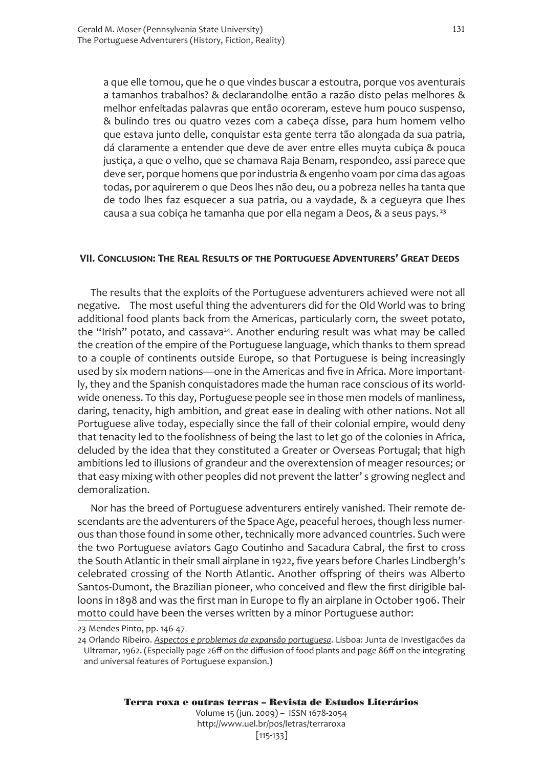a que elle tornou, que he o que vindes buscar a estoutra, porque vos aventurais a tamanhos trabalhos? & declarandolhe então a razão disto pelas melhores & melhor enfeitadas palavras que então ocoreram, esteve hum pouco suspenso, & bulindo tres ou quatro vezes com a cabeça disse, para hum homem velho que estava junto delle, conquistar esta gente terra tão alongada da sua patria, dá claramente a entender que deve de aver entre elles muyta cubiça & pouca justiça, a que o velho, que se chamava Raja Benam, respondeo, assi parece que deve ser, porque homens que por industria & engenho voam por cima das agoas todas, por aquirerem o que Deos lhes não deu, ou a pobreza nelles ha tanta que de todo lhes faz esquecer a sua patria, ou a vaydade, & a cegueyra que lhes causa a sua cobiça he tamanha que por ella negam a Deos, & a seus pays. <sup>23</sup>

#### **VII. Conclusion: The Real Results of the Portuguese Adventurers' Great Deeds**

The results that the exploits of the Portuguese adventurers achieved were not all negative. The most useful thing the adventurers did for the Old World was to bring additional food plants back from the Americas, particularly corn, the sweet potato, the "Irish" potato, and cassava<sup>24</sup>. Another enduring result was what may be called the creation of the empire of the Portuguese language, which thanks to them spread to a couple of continents outside Europe, so that Portuguese is being increasingly used by six modern nations—one in the Americas and five in Africa. More importantly, they and the Spanish conquistadores made the human race conscious of its worldwide oneness. To this day, Portuguese people see in those men models of manliness, daring, tenacity, high ambition, and great ease in dealing with other nations. Not all Portuguese alive today, especially since the fall of their colonial empire, would deny that tenacity led to the foolishness of being the last to let go of the colonies in Africa, deluded by the idea that they constituted a Greater or Overseas Portugal; that high ambitions led to illusions of grandeur and the overextension of meager resources; or that easy mixing with other peoples did not prevent the latter' s growing neglect and demoralization.

Nor has the breed of Portuguese adventurers entirely vanished. Their remote descendants are the adventurers of the Space Age, peaceful heroes, though less numerous than those found in some other, technically more advanced countries. Such were the two Portuguese aviators Gago Coutinho and Sacadura Cabral, the first to cross the South Atlantic in their small airplane in 1922, five years before Charles Lindbergh's celebrated crossing of the North Atlantic. Another offspring of theirs was Alberto Santos-Dumont, the Brazilian pioneer, who conceived and flew the first dirigible balloons in 1898 and was the first man in Europe to fly an airplane in October 1906. Their motto could have been the verses written by a minor Portuguese author:

<sup>23</sup> Mendes Pinto, pp. 146-47.

<sup>24</sup> Orlando Ribeiro. *Aspectos e problemas da expansão portuguesa*. Lisboa: Junta de Investigacões da Ultramar, 1962. (Especially page 26ff on the diffusion of food plants and page 86ff on the integrating and universal features of Portuguese expansion.)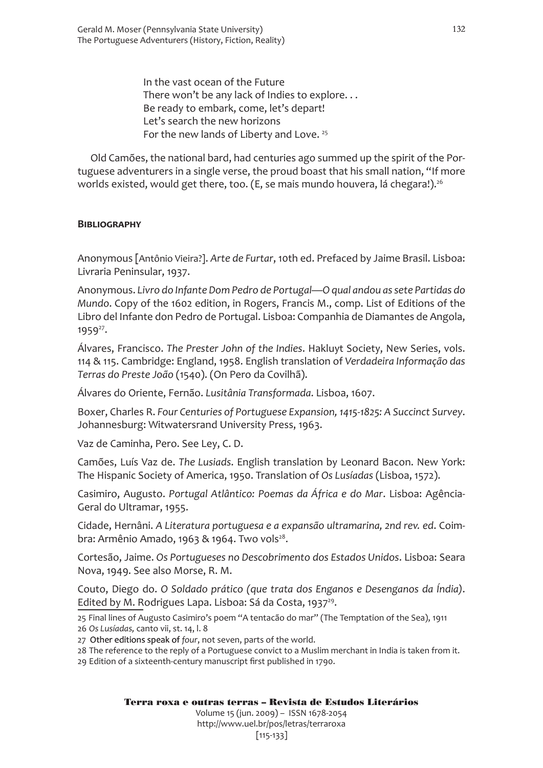In the vast ocean of the Future There won't be any lack of Indies to explore. . . Be ready to embark, come, let's depart! Let's search the new horizons For the new lands of Liberty and Love.<sup>25</sup>

Old Camões, the national bard, had centuries ago summed up the spirit of the Portuguese adventurers in a single verse, the proud boast that his small nation, "If more worlds existed, would get there, too. (E, se mais mundo houvera, lá chegara!).<sup>26</sup>

#### **Bibliography**

Anonymous [Antônio Vieira?]. *Arte de Furtar*, 10th ed. Prefaced by Jaime Brasil. Lisboa: Livraria Peninsular, 1937.

Anonymous. *Livro do Infante Dom Pedro de Portugal—O qual andou as sete Partidas do Mundo*. Copy of the 1602 edition, in Rogers, Francis M., comp. List of Editions of the Libro del Infante don Pedro de Portugal. Lisboa: Companhia de Diamantes de Angola, 1959<sup>27</sup>.

Álvares, Francisco. *The Prester John of the Indies*. Hakluyt Society, New Series, vols. 114 & 115. Cambridge: England, 1958. English translation of *Verdadeira Informação das Terras do Preste João* (1540). (On Pero da Covilhã).

Álvares do Oriente, Fernão. *Lusitânia Transformada*. Lisboa, 1607.

Boxer, Charles R. *Four Centuries of Portuguese Expansion, 1415-1825: A Succinct Survey*. Johannesburg: Witwatersrand University Press, 1963.

Vaz de Caminha, Pero. See Ley, C. D.

Camões, Luís Vaz de. *The Lusiads*. English translation by Leonard Bacon. New York: The Hispanic Society of America, 1950. Translation of *Os Lusíadas* (Lisboa, 1572).

Casimiro, Augusto. *Portugal Atlântico: Poemas da África e do Mar*. Lisboa: Agência-Geral do Ultramar, 1955.

Cidade, Hernâni. *A Literatura portuguesa e a expansão ultramarina, 2nd rev. ed*. Coimbra: Armênio Amado, 1963 & 1964. Two vols $2^8$ .

Cortesão, Jaime. *Os Portugueses no Descobrimento dos Estados Unidos*. Lisboa: Seara Nova, 1949. See also Morse, R. M.

Couto, Diego do. *O Soldado prático (que trata dos Enganos e Desenganos da Índia)*. Edited by M. Rodrigues Lapa. Lisboa: Sá da Costa, 1937<sup>29</sup>.

25 Final lines of Augusto Casimiro's poem "A tentacão do mar" (The Temptation of the Sea), 1911

26 *Os Lusíadas,* canto vii, st. 14, l. 8

- 27 Other editions speak of *four*, not seven, parts of the world.
- 28 The reference to the reply of a Portuguese convict to a Muslim merchant in India is taken from it.

29 Edition of a sixteenth-century manuscript first published in 1790.

Terra roxa e outras terras – Revista de Estudos Literários